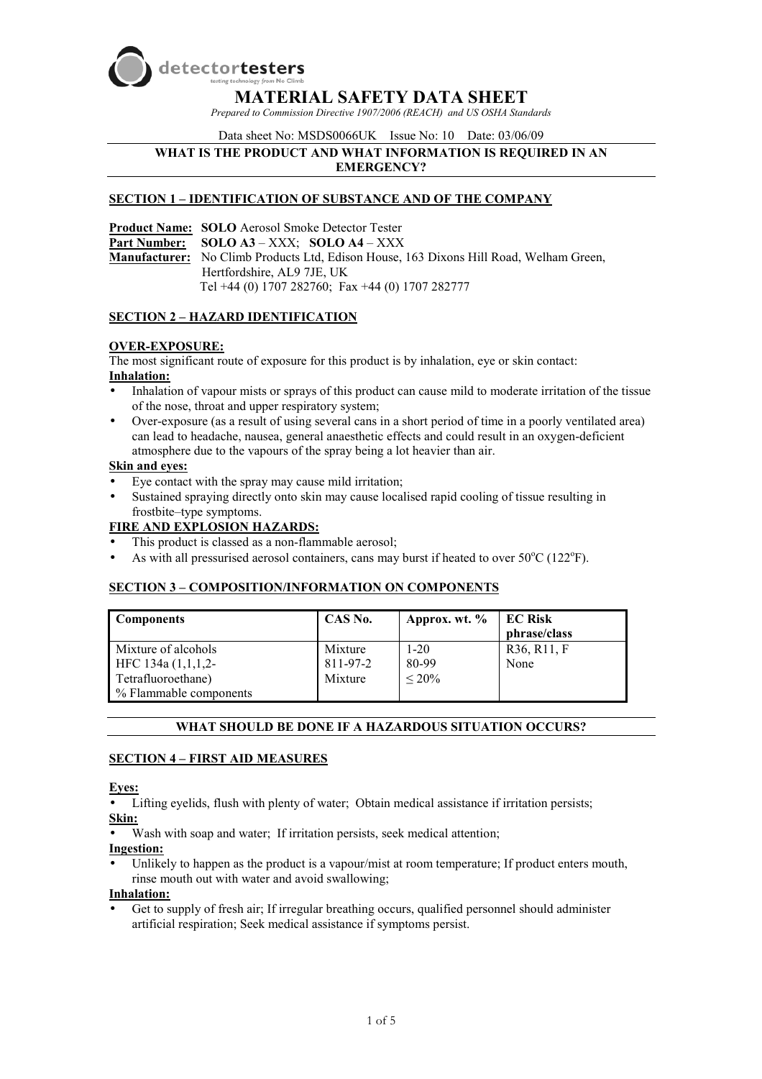

**MATERIAL SAFETY DATA SHEET**

*Prepared to Commission Directive 1907/2006 (REACH) and US OSHA Standards* 

Data sheet No: MSDS0066UK Issue No: 10 Date: 03/06/09

#### **WHAT IS THE PRODUCT AND WHAT INFORMATION IS REQUIRED IN AN EMERGENCY?**

### **SECTION 1 – IDENTIFICATION OF SUBSTANCE AND OF THE COMPANY**

**Product Name: SOLO** Aerosol Smoke Detector Tester **Part Number: SOLO A3** – XXX; **SOLO A4** – XXX **Manufacturer:** No Climb Products Ltd, Edison House, 163 Dixons Hill Road, Welham Green, Hertfordshire, AL9 7JE, UK Tel +44 (0) 1707 282760; Fax +44 (0) 1707 282777

### **SECTION 2 – HAZARD IDENTIFICATION**

### **OVER-EXPOSURE:**

The most significant route of exposure for this product is by inhalation, eye or skin contact: **Inhalation:**

- Inhalation of vapour mists or sprays of this product can cause mild to moderate irritation of the tissue of the nose, throat and upper respiratory system;
- Over-exposure (as a result of using several cans in a short period of time in a poorly ventilated area) can lead to headache, nausea, general anaesthetic effects and could result in an oxygen-deficient atmosphere due to the vapours of the spray being a lot heavier than air.

#### **Skin and eyes:**

- Eye contact with the spray may cause mild irritation;
- Sustained spraying directly onto skin may cause localised rapid cooling of tissue resulting in frostbite–type symptoms.

## **FIRE AND EXPLOSION HAZARDS:**

- This product is classed as a non-flammable aerosol;
- As with all pressurised aerosol containers, cans may burst if heated to over  $50^{\circ}$ C (122 $^{\circ}$ F).

## **SECTION 3 – COMPOSITION/INFORMATION ON COMPONENTS**

| <b>Components</b>                         | CAS No.             | Approx. wt. %     | <b>EC Risk</b><br>phrase/class |
|-------------------------------------------|---------------------|-------------------|--------------------------------|
| Mixture of alcohols<br>HFC $134a(1,1,1,2$ | Mixture<br>811-97-2 | $1 - 20$<br>80-99 | R36, R11, F<br>None            |
| Tetrafluoroethane)                        | Mixture             | $< 20\%$          |                                |
| % Flammable components                    |                     |                   |                                |

## **WHAT SHOULD BE DONE IF A HAZARDOUS SITUATION OCCURS?**

#### **SECTION 4 – FIRST AID MEASURES**

#### **Eyes:**

Lifting eyelids, flush with plenty of water; Obtain medical assistance if irritation persists; **Skin:**

Wash with soap and water; If irritation persists, seek medical attention;

**Ingestion:** 

Unlikely to happen as the product is a vapour/mist at room temperature: If product enters mouth, rinse mouth out with water and avoid swallowing;

**Inhalation:**

• Get to supply of fresh air; If irregular breathing occurs, qualified personnel should administer artificial respiration; Seek medical assistance if symptoms persist.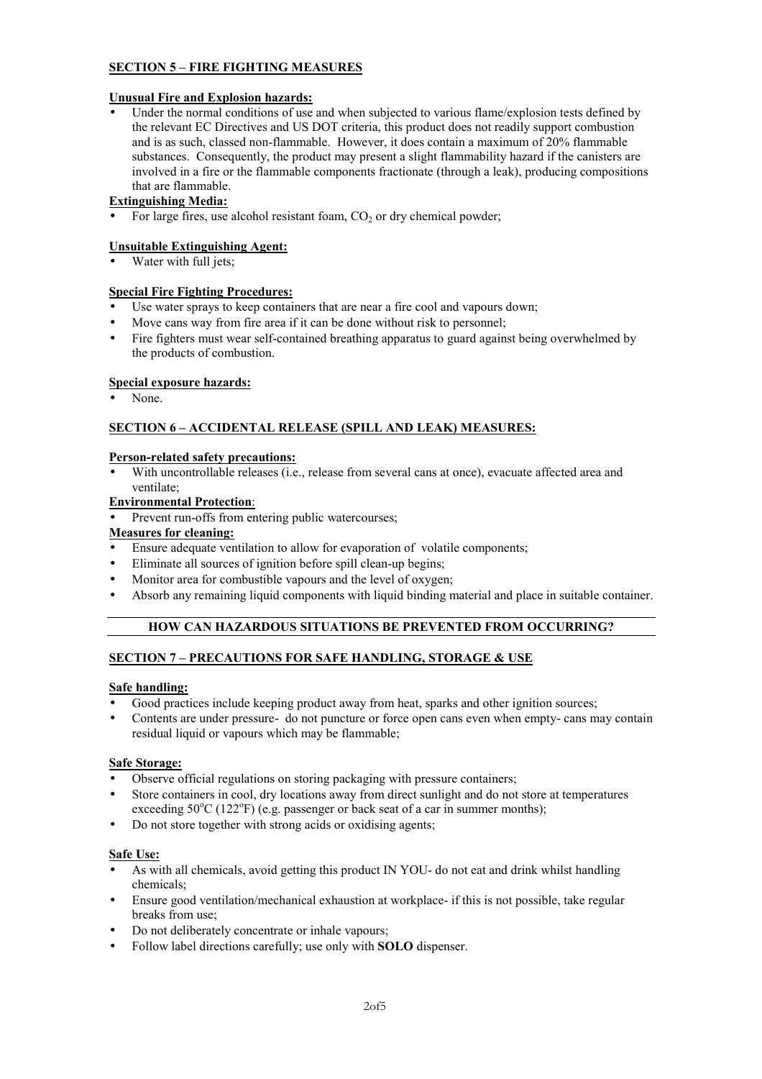## **SECTION 5 – FIRE FIGHTING MEASURES**

### **Unusual Fire and Explosion hazards:**

Under the normal conditions of use and when subjected to various flame/explosion tests defined by the relevant EC Directives and US DOT criteria, this product does not readily support combustion and is as such, classed non-flammable. However, it does contain a maximum of 20% flammable substances. Consequently, the product may present a slight flammability hazard if the canisters are involved in a fire or the flammable components fractionate (through a leak), producing compositions that are flammable.

# **Extinguishing Media:**

For large fires, use alcohol resistant foam,  $CO<sub>2</sub>$  or dry chemical powder;

## **Unsuitable Extinguishing Agent:**

Water with full jets;

### **Special Fire Fighting Procedures:**

- Use water sprays to keep containers that are near a fire cool and vapours down;
- Move cans way from fire area if it can be done without risk to personnel;
- Fire fighters must wear self-contained breathing apparatus to guard against being overwhelmed by the products of combustion.

### **Special exposure hazards:**

None.

# **SECTION 6 – ACCIDENTAL RELEASE (SPILL AND LEAK) MEASURES:**

#### **Person-related safety precautions:**

With uncontrollable releases (i.e., release from several cans at once), evacuate affected area and ventilate;

# **Environmental Protection**:

Prevent run-offs from entering public watercourses:

## **Measures for cleaning:**

- Ensure adequate ventilation to allow for evaporation of volatile components;
- Eliminate all sources of ignition before spill clean-up begins;
- Monitor area for combustible vapours and the level of oxygen;
- Absorb any remaining liquid components with liquid binding material and place in suitable container.

# **HOW CAN HAZARDOUS SITUATIONS BE PREVENTED FROM OCCURRING?**

## **SECTION 7 – PRECAUTIONS FOR SAFE HANDLING, STORAGE & USE**

## **Safe handling:**

- Good practices include keeping product away from heat, sparks and other ignition sources;
- Contents are under pressure- do not puncture or force open cans even when empty- cans may contain residual liquid or vapours which may be flammable;

#### **Safe Storage:**

- Observe official regulations on storing packaging with pressure containers;
- Store containers in cool, dry locations away from direct sunlight and do not store at temperatures exceeding  $50^{\circ}$ C (122 $^{\circ}$ F) (e.g. passenger or back seat of a car in summer months);
- Do not store together with strong acids or oxidising agents;

## **Safe Use:**

- As with all chemicals, avoid getting this product IN YOU- do not eat and drink whilst handling chemicals;
- Ensure good ventilation/mechanical exhaustion at workplace- if this is not possible, take regular breaks from use;
- Do not deliberately concentrate or inhale vapours;
- Follow label directions carefully; use only with **SOLO** dispenser.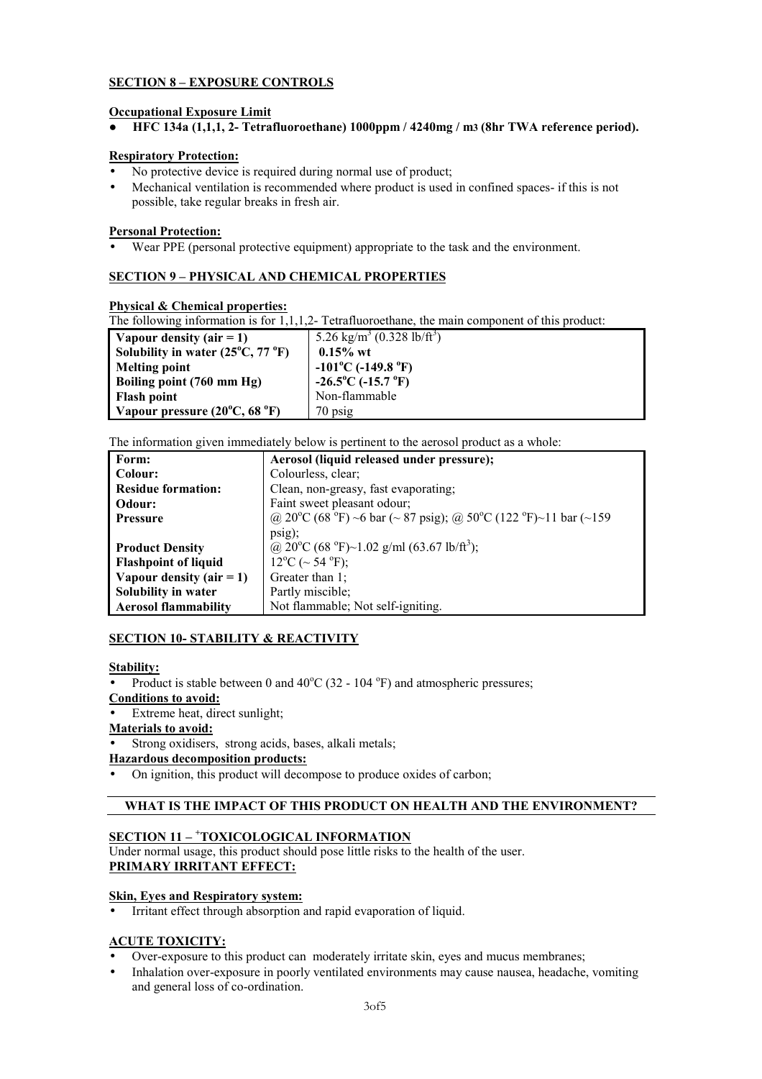# **SECTION 8 – EXPOSURE CONTROLS**

## **Occupational Exposure Limit**

**F HFC 134a (1,1,1, 2- Tetrafluoroethane) 1000ppm / 4240mg / m3 (8hr TWA reference period).** 

### **Respiratory Protection:**

- No protective device is required during normal use of product;
- Mechanical ventilation is recommended where product is used in confined spaces- if this is not possible, take regular breaks in fresh air.

### **Personal Protection:**

• Wear PPE (personal protective equipment) appropriate to the task and the environment.

# **SECTION 9 – PHYSICAL AND CHEMICAL PROPERTIES**

### **Physical & Chemical properties:**

The following information is for 1,1,1,2- Tetrafluoroethane, the main component of this product:

| Vapour density $(air = 1)$                       | 5.26 kg/m <sup>3</sup> (0.328 lb/ft <sup>3</sup> ) |
|--------------------------------------------------|----------------------------------------------------|
| Solubility in water $(25^{\circ}C, 77^{\circ}F)$ | $0.15\%$ wt                                        |
| <b>Melting point</b>                             | $-101^{\circ}$ C (-149.8 $^{\circ}$ F)             |
| Boiling point (760 mm Hg)                        | $-26.5^{\circ}$ C ( $-15.7^{\circ}$ F)             |
| <b>Flash point</b>                               | Non-flammable                                      |
| Vapour pressure $(20^{\circ}C, 68^{\circ}F)$     | $70$ psig                                          |

The information given immediately below is pertinent to the aerosol product as a whole:

| Form:                       | Aerosol (liquid released under pressure);                       |
|-----------------------------|-----------------------------------------------------------------|
| Colour:                     | Colourless, clear;                                              |
| <b>Residue formation:</b>   | Clean, non-greasy, fast evaporating;                            |
| Odour:                      | Faint sweet pleasant odour;                                     |
| <b>Pressure</b>             | @ 20°C (68 °F) ~6 bar (~ 87 psig); @ 50°C (122 °F)~11 bar (~159 |
|                             | psi;                                                            |
| <b>Product Density</b>      | @ 20°C (68 °F)~1.02 g/ml (63.67 lb/ft <sup>3</sup> ):           |
| <b>Flashpoint of liquid</b> | $12^{\circ}$ C (~ 54 $^{\circ}$ F);                             |
| Vapour density $(air = 1)$  | Greater than $1$ ;                                              |
| Solubility in water         | Partly miscible;                                                |
| <b>Aerosol flammability</b> | Not flammable; Not self-igniting.                               |

## **SECTION 10- STABILITY & REACTIVITY**

#### **Stability:**

• Product is stable between 0 and  $40^{\circ}$ C (32 - 104  $^{\circ}$ F) and atmospheric pressures;

### **Conditions to avoid:**

**Extreme heat, direct sunlight;** 

## **Materials to avoid:**

Strong oxidisers, strong acids, bases, alkali metals;

### **Hazardous decomposition products:**

• On ignition, this product will decompose to produce oxides of carbon;

# **WHAT IS THE IMPACT OF THIS PRODUCT ON HEALTH AND THE ENVIRONMENT?**

# **SECTION 11 – <sup>+</sup> TOXICOLOGICAL INFORMATION**

Under normal usage, this product should pose little risks to the health of the user. **PRIMARY IRRITANT EFFECT:**

## **Skin, Eyes and Respiratory system:**

• Irritant effect through absorption and rapid evaporation of liquid.

## **ACUTE TOXICITY:**

- Over-exposure to this product can moderately irritate skin, eyes and mucus membranes;
- Inhalation over-exposure in poorly ventilated environments may cause nausea, headache, vomiting and general loss of co-ordination.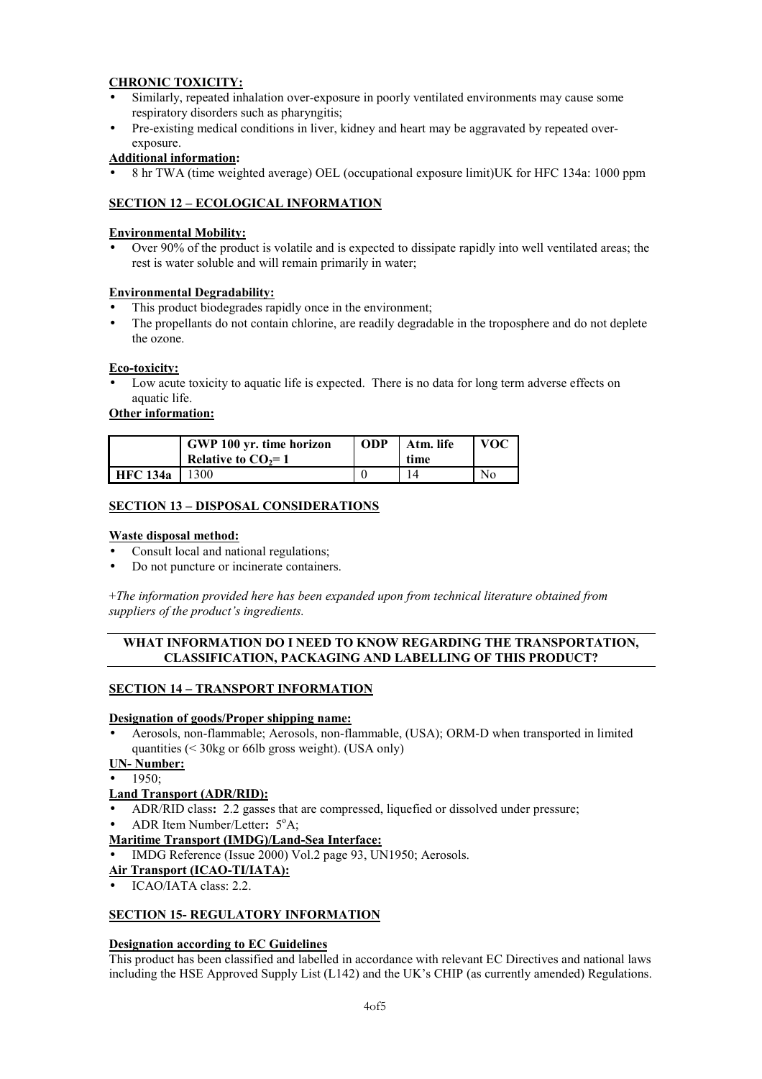# **CHRONIC TOXICITY:**

- Similarly, repeated inhalation over-exposure in poorly ventilated environments may cause some respiratory disorders such as pharyngitis;
- Pre-existing medical conditions in liver, kidney and heart may be aggravated by repeated overexposure.

# **Additional information:**

• 8 hr TWA (time weighted average) OEL (occupational exposure limit)UK for HFC 134a: 1000 ppm

# **SECTION 12 – ECOLOGICAL INFORMATION**

## **Environmental Mobility:**

• Over 90% of the product is volatile and is expected to dissipate rapidly into well ventilated areas; the rest is water soluble and will remain primarily in water;

## **Environmental Degradability:**

- This product biodegrades rapidly once in the environment;
- The propellants do not contain chlorine, are readily degradable in the troposphere and do not deplete the ozone.

### **Eco-toxicity:**

Low acute toxicity to aquatic life is expected. There is no data for long term adverse effects on aquatic life.

## **Other information:**

|                 | GWP 100 yr. time horizon<br>Relative to $CO2=1$ | <b>ODP</b> | Atm. life<br>time | <b>VOC</b>     |
|-----------------|-------------------------------------------------|------------|-------------------|----------------|
| <b>HFC</b> 134a | 300                                             |            |                   | N <sub>0</sub> |

### **SECTION 13 – DISPOSAL CONSIDERATIONS**

### **Waste disposal method:**

- Consult local and national regulations;
- Do not puncture or incinerate containers.

+*The information provided here has been expanded upon from technical literature obtained from suppliers of the product's ingredients.* 

## **WHAT INFORMATION DO I NEED TO KNOW REGARDING THE TRANSPORTATION, CLASSIFICATION, PACKAGING AND LABELLING OF THIS PRODUCT?**

#### **SECTION 14 – TRANSPORT INFORMATION**

#### **Designation of goods/Proper shipping name:**

• Aerosols, non-flammable; Aerosols, non-flammable, (USA); ORM-D when transported in limited quantities (< 30kg or 66lb gross weight). (USA only)

**UN- Number:**

• 1950;

## **Land Transport (ADR/RID):**

- ADR/RID class**:** 2.2 gasses that are compressed, liquefied or dissolved under pressure;
- ADR Item Number/Letter: 5<sup>o</sup>A;

## **Maritime Transport (IMDG)/Land-Sea Interface:**

• IMDG Reference (Issue 2000) Vol.2 page 93, UN1950; Aerosols.

#### **Air Transport (ICAO-TI/IATA):**

• ICAO/IATA class: 2.2.

## **SECTION 15- REGULATORY INFORMATION**

#### **Designation according to EC Guidelines**

This product has been classified and labelled in accordance with relevant EC Directives and national laws including the HSE Approved Supply List (L142) and the UK's CHIP (as currently amended) Regulations.